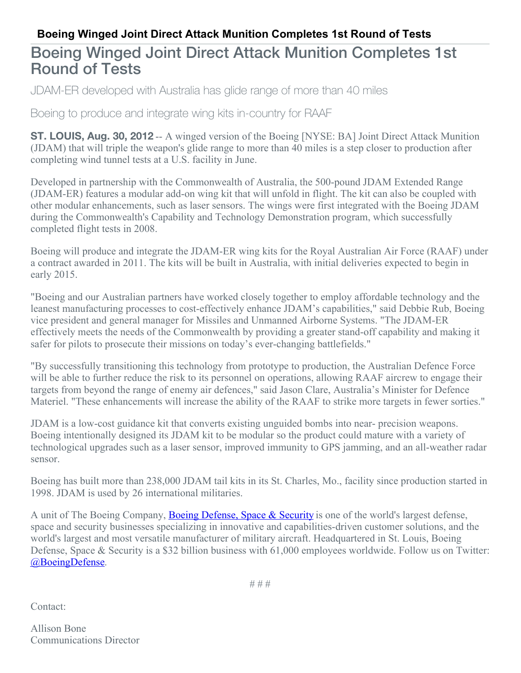## **Boeing Winged Joint Direct Attack Munition Completes 1st Round of Tests**

## Boeing Winged Joint Direct Attack Munition Completes 1st Round of Tests

JDAM-ER developed with Australia has glide range of more than 40 miles

Boeing to produce and integrate wing kits in-country for RAAF

**ST. LOUIS, Aug. 30, 2012** -- A winged version of the Boeing [NYSE: BA] Joint Direct Attack Munition (JDAM) that will triple the weapon's glide range to more than 40 miles is a step closer to production after completing wind tunnel tests at a U.S. facility in June.

Developed in partnership with the Commonwealth of Australia, the 500-pound JDAM Extended Range (JDAM-ER) features a modular add-on wing kit that will unfold in flight. The kit can also be coupled with other modular enhancements, such as laser sensors. The wings were first integrated with the Boeing JDAM during the Commonwealth's Capability and Technology Demonstration program, which successfully completed flight tests in 2008.

Boeing will produce and integrate the JDAM-ER wing kits for the Royal Australian Air Force (RAAF) under a contract awarded in 2011. The kits will be built in Australia, with initial deliveries expected to begin in early 2015.

"Boeing and our Australian partners have worked closely together to employ affordable technology and the leanest manufacturing processes to cost-effectively enhance JDAM's capabilities," said Debbie Rub, Boeing vice president and general manager for Missiles and Unmanned Airborne Systems. "The JDAM-ER effectively meets the needs of the Commonwealth by providing a greater stand-off capability and making it safer for pilots to prosecute their missions on today's ever-changing battlefields."

"By successfully transitioning this technology from prototype to production, the Australian Defence Force will be able to further reduce the risk to its personnel on operations, allowing RAAF aircrew to engage their targets from beyond the range of enemy air defences," said Jason Clare, Australia's Minister for Defence Materiel. "These enhancements will increase the ability of the RAAF to strike more targets in fewer sorties."

JDAM is a low-cost guidance kit that converts existing unguided bombs into near- precision weapons. Boeing intentionally designed its JDAM kit to be modular so the product could mature with a variety of technological upgrades such as a laser sensor, improved immunity to GPS jamming, and an all-weather radar sensor.

Boeing has built more than 238,000 JDAM tail kits in its St. Charles, Mo., facility since production started in 1998. JDAM is used by 26 international militaries.

A unit of The Boeing Company, Boeing [Defense,](http://www.boeing.com/bds) Space & Security is one of the world's largest defense, space and security businesses specializing in innovative and capabilities-driven customer solutions, and the world's largest and most versatile manufacturer of military aircraft. Headquartered in St. Louis, Boeing Defense, Space & Security is a \$32 billion business with 61,000 employees worldwide. Follow us on Twitter: [@BoeingDefense](http://twitter.com/boeingdefense).

# # #

Contact:

Allison Bone Communications Director